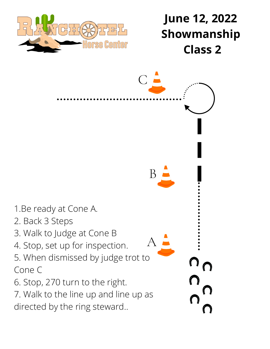

## **June 12, 2022 Showmanship Class 2**

1.Be ready at Cone A. 2. Back 3 Steps 3. Walk to Judge at Cone B 4. Stop, set up for inspection. 5. When dismissed by judge trot to Cone C 6. Stop, 270 turn to the right. 7. Walk to the line up and line up as directed by the ring steward.. A B  $\bigcirc$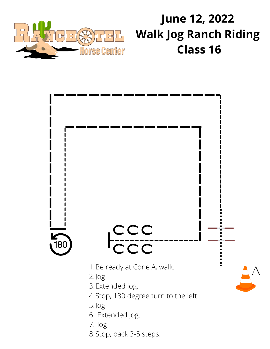

# **June 12, 2022 Walk Jog Ranch Riding Class 16**



Stop, back 3-5 steps. 8.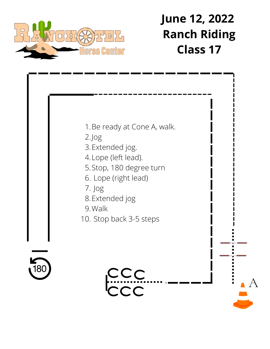

## **June 12, 2022 Ranch Riding Class 17**

A



- 2.Jog
- 3. Extended jog.
- Lope (left lead). 4.
- 5. Stop, 180 degree turn
- Lope (right lead) 6.
- Jog 7.
- 8. Extended jog
- Walk 9.
- 10. Stop back 3-5 steps



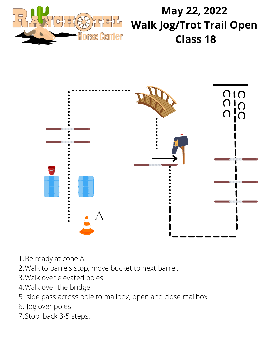

#### **May 22, 2022 Walk Jog/Trot Trail Open Class 18**



- 1. Be ready at cone A.
- Walk to barrels stop, move bucket to next barrel. 2.
- 3. Walk over elevated poles
- Walk over the bridge. 4.
- 5. side pass across pole to mailbox, open and close mailbox.
- 6. Jog over poles
- 7. Stop, back 3-5 steps.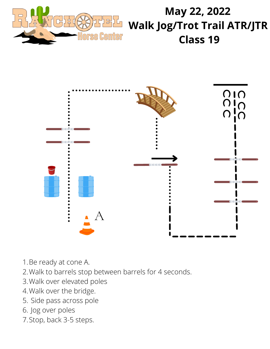

#### **May 22, 2022 Walk Jog/Trot Trail ATR/JTR Class 19**



- 1. Be ready at cone A.
- Walk to barrels stop between barrels for 4 seconds. 2.
- Walk over elevated poles 3.
- Walk over the bridge. 4.
- 5. Side pass across pole
- 6. Jog over poles
- 7. Stop, back 3-5 steps.